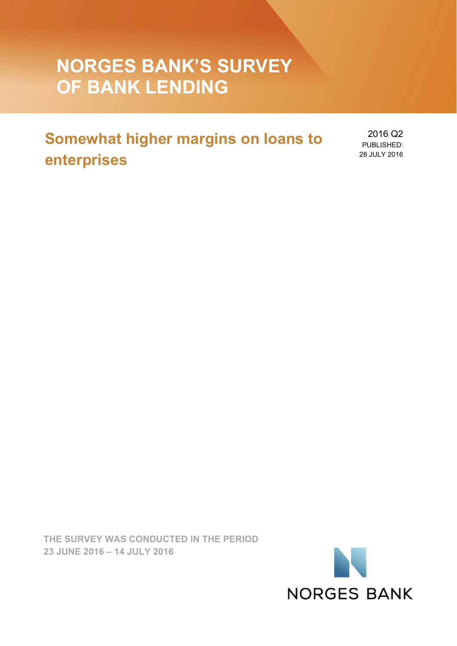# **NORGES BANK'S SURVEY OF BANK LENDING**

## **Somewhat higher margins on loans to enterprises**

2016 Q2 PUBLISHED: 28 JULY 2016

**THE SURVEY WAS CONDUCTED IN THE PERIOD 23 JUNE 2016 – 14 JULY 2016** 

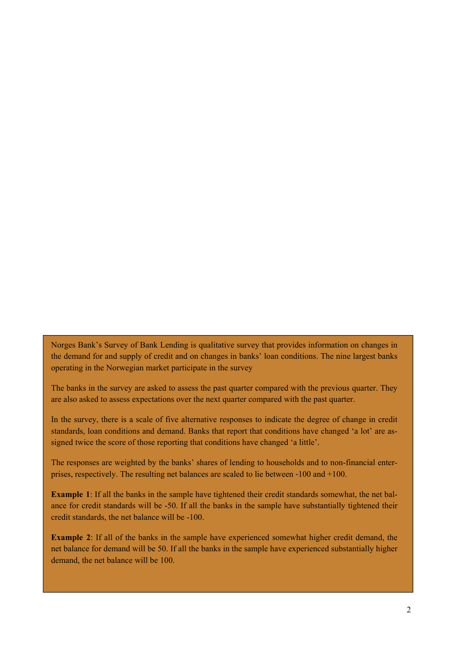Norges Bank's Survey of Bank Lending is qualitative survey that provides information on changes in the demand for and supply of credit and on changes in banks' loan conditions. The nine largest banks operating in the Norwegian market participate in the survey

The banks in the survey are asked to assess the past quarter compared with the previous quarter. They are also asked to assess expectations over the next quarter compared with the past quarter.

In the survey, there is a scale of five alternative responses to indicate the degree of change in credit standards, loan conditions and demand. Banks that report that conditions have changed 'a lot' are assigned twice the score of those reporting that conditions have changed 'a little'.

The responses are weighted by the banks' shares of lending to households and to non-financial enterprises, respectively. The resulting net balances are scaled to lie between ‐100 and +100.

**Example 1**: If all the banks in the sample have tightened their credit standards somewhat, the net balance for credit standards will be -50. If all the banks in the sample have substantially tightened their credit standards, the net balance will be -100.

**Example 2**: If all of the banks in the sample have experienced somewhat higher credit demand, the net balance for demand will be 50. If all the banks in the sample have experienced substantially higher demand, the net balance will be 100.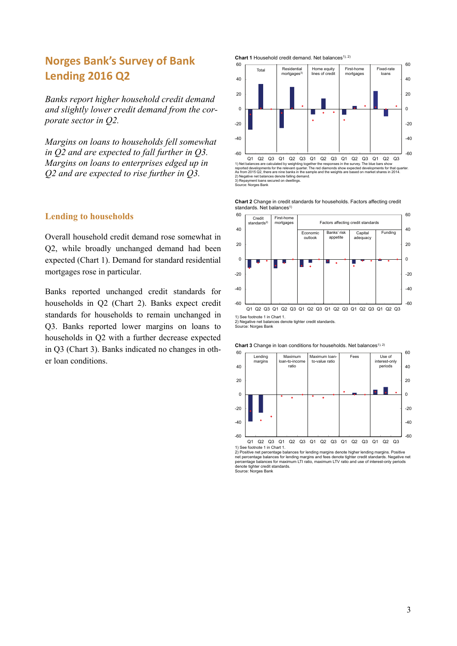## **Norges Bank's Survey of Bank Lending 2016 Q2**

*Banks report higher household credit demand and slightly lower credit demand from the corporate sector in Q2.* 

*Margins on loans to households fell somewhat in Q2 and are expected to fall further in Q3. Margins on loans to enterprises edged up in Q2 and are expected to rise further in Q3.* 

### **Lending to households**

Overall household credit demand rose somewhat in Q2, while broadly unchanged demand had been expected (Chart 1). Demand for standard residential mortgages rose in particular.

Banks reported unchanged credit standards for households in Q2 (Chart 2). Banks expect credit standards for households to remain unchanged in Q3. Banks reported lower margins on loans to households in Q2 with a further decrease expected in Q3 (Chart 3). Banks indicated no changes in other loan conditions.





Q1 Q2 Q3 Q1 Q2 Q3 Q1 Q2 Q3 Q1 Q2 Q3 Q1 Q2 Q3 Q1 Q2 Q3  $Q1$  Q2 Q3 alances are calculated by weighting together the responses in the survey. The blue bars show that d developments for the relevant quarter. The red diamonds 1) Net balances are calculated by weighting together the responses in the survey. The blue bars show<br>reported developments for the relevant quarter. The red diamonds show expected developments for that quarter.<br>As from 201

Sepayment roan<br>urce: Norges Bank

**Chart 2** Change in credit standards for households. Factors affecting credit standards. Net balances<sup>1)</sup>



1) See footnote 1 in Chart 1.

2) Negative net balances denote tighter credit standards. Source: Norges Bank





2) Positive net percentage balances for lending margins denote higher lending margins. Positive<br>net percentage balances for lending margins and fees denote tighter credit standards. Negative net<br>percentage balances for max denote tighter credit standards. Source: Norges Bank